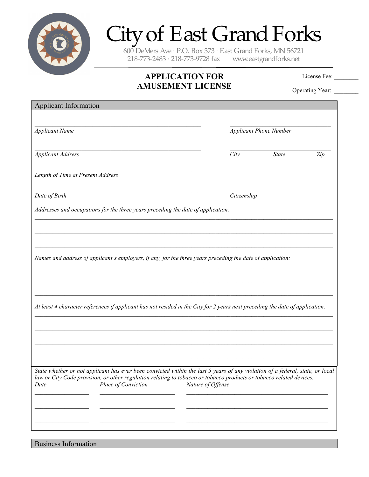

# City of East Grand Forks

600 DeMers Ave · P.O. Box  $373$  · East Grand Forks, MN 56721<br>218-773-2483 · 218-773-9728 fax www.eastgrandforks.net 218-773-2483 · 218-773-9728 fax

## **APPLICATION FOR AMUSEMENT LICENSE**

License Fee:

Operating Year: \_\_\_\_\_\_\_\_

| <b>Applicant Information</b>                                                                                                                                                                                                                                                        |                   |                               |     |  |
|-------------------------------------------------------------------------------------------------------------------------------------------------------------------------------------------------------------------------------------------------------------------------------------|-------------------|-------------------------------|-----|--|
| <b>Applicant Name</b>                                                                                                                                                                                                                                                               |                   | <b>Applicant Phone Number</b> |     |  |
| <b>Applicant Address</b>                                                                                                                                                                                                                                                            | City              | <b>State</b>                  | Zip |  |
| Length of Time at Present Address                                                                                                                                                                                                                                                   |                   |                               |     |  |
| Date of Birth                                                                                                                                                                                                                                                                       | Citizenship       |                               |     |  |
| Addresses and occupations for the three years preceding the date of application:                                                                                                                                                                                                    |                   |                               |     |  |
|                                                                                                                                                                                                                                                                                     |                   |                               |     |  |
|                                                                                                                                                                                                                                                                                     |                   |                               |     |  |
| Names and address of applicant's employers, if any, for the three years preceding the date of application:                                                                                                                                                                          |                   |                               |     |  |
|                                                                                                                                                                                                                                                                                     |                   |                               |     |  |
| At least 4 character references if applicant has not resided in the City for 2 years next preceding the date of application:                                                                                                                                                        |                   |                               |     |  |
|                                                                                                                                                                                                                                                                                     |                   |                               |     |  |
|                                                                                                                                                                                                                                                                                     |                   |                               |     |  |
|                                                                                                                                                                                                                                                                                     |                   |                               |     |  |
| State whether or not applicant has ever been convicted within the last 5 years of any violation of a federal, state, or local<br>law or City Code provision, or other regulation relating to tobacco or tobacco products or tobacco related devices.<br>Place of Conviction<br>Date | Nature of Offense |                               |     |  |
|                                                                                                                                                                                                                                                                                     |                   |                               |     |  |
|                                                                                                                                                                                                                                                                                     |                   |                               |     |  |
|                                                                                                                                                                                                                                                                                     |                   |                               |     |  |

Business Information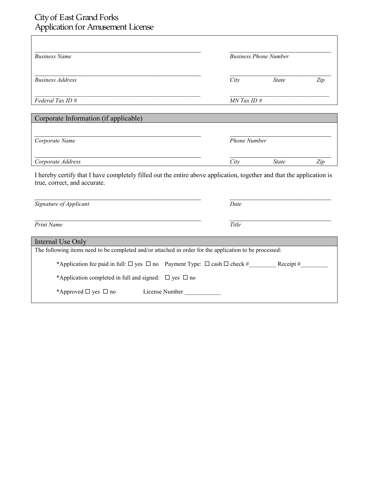### City of East Grand Forks Application for Amusement License

| <b>Business Name</b>                                                                                                                                  | <b>Business Phone Number</b> |              |     |  |  |
|-------------------------------------------------------------------------------------------------------------------------------------------------------|------------------------------|--------------|-----|--|--|
|                                                                                                                                                       |                              |              |     |  |  |
| <b>Business Address</b>                                                                                                                               | City                         | <b>State</b> | Zip |  |  |
| Federal Tax ID #                                                                                                                                      | MN Tax ID #                  |              |     |  |  |
| Corporate Information (if applicable)                                                                                                                 |                              |              |     |  |  |
|                                                                                                                                                       |                              |              |     |  |  |
| Corporate Name                                                                                                                                        | <b>Phone Number</b>          |              |     |  |  |
| Corporate Address                                                                                                                                     | City                         | <b>State</b> | Zip |  |  |
| I hereby certify that I have completely filled out the entire above application, together and that the application is<br>true, correct, and accurate. |                              |              |     |  |  |
| Signature of Applicant                                                                                                                                | Date                         |              |     |  |  |
| <b>Print Name</b>                                                                                                                                     | Title                        |              |     |  |  |
| Internal Use Only                                                                                                                                     |                              |              |     |  |  |
| The following items need to be completed and/or attached in order for the application to be processed:                                                |                              |              |     |  |  |
| *Application fee paid in full: $\Box$ yes $\Box$ no Payment Type: $\Box$ cash $\Box$ check # Receipt #                                                |                              |              |     |  |  |
| *Application completed in full and signed: $\Box$ yes $\Box$ no                                                                                       |                              |              |     |  |  |
| *Approved $\Box$ yes $\Box$ no<br>License Number                                                                                                      |                              |              |     |  |  |